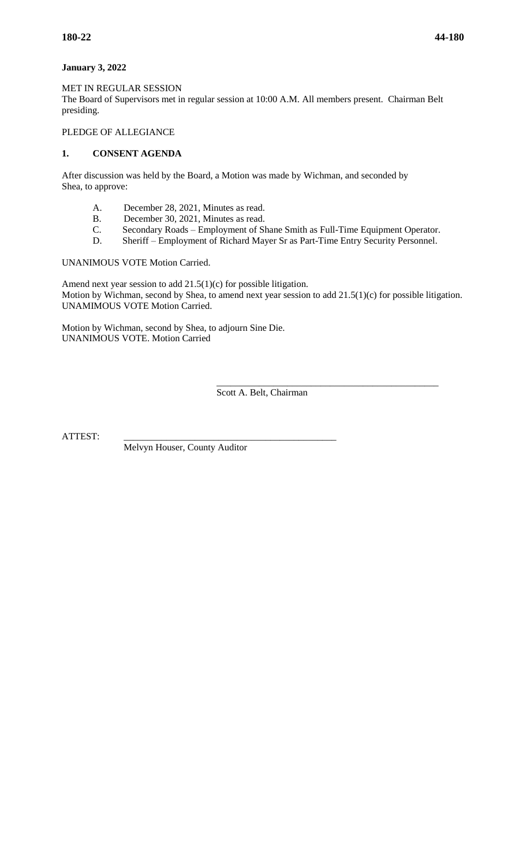## **January 3, 2022**

MET IN REGULAR SESSION The Board of Supervisors met in regular session at 10:00 A.M. All members present. Chairman Belt presiding.

# PLEDGE OF ALLEGIANCE

# **1. CONSENT AGENDA**

After discussion was held by the Board, a Motion was made by Wichman, and seconded by Shea, to approve:

- A. December 28, 2021, Minutes as read.
- B. December 30, 2021, Minutes as read.
- C. Secondary Roads Employment of Shane Smith as Full-Time Equipment Operator.
- D. Sheriff Employment of Richard Mayer Sr as Part-Time Entry Security Personnel.

UNANIMOUS VOTE Motion Carried.

Amend next year session to add 21.5(1)(c) for possible litigation. Motion by Wichman, second by Shea, to amend next year session to add 21.5(1)(c) for possible litigation. UNAMIMOUS VOTE Motion Carried.

Motion by Wichman, second by Shea, to adjourn Sine Die. UNANIMOUS VOTE. Motion Carried

> \_\_\_\_\_\_\_\_\_\_\_\_\_\_\_\_\_\_\_\_\_\_\_\_\_\_\_\_\_\_\_\_\_\_\_\_\_\_\_\_\_\_\_\_\_\_\_ Scott A. Belt, Chairman

ATTEST:

Melvyn Houser, County Auditor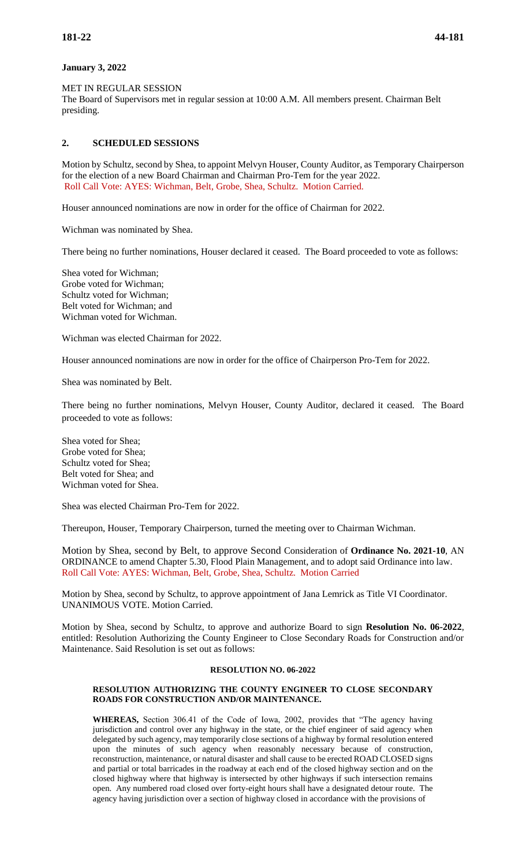# **January 3, 2022**

MET IN REGULAR SESSION

The Board of Supervisors met in regular session at 10:00 A.M. All members present. Chairman Belt presiding.

# **2. SCHEDULED SESSIONS**

Motion by Schultz, second by Shea, to appoint Melvyn Houser, County Auditor, as Temporary Chairperson for the election of a new Board Chairman and Chairman Pro-Tem for the year 2022. Roll Call Vote: AYES: Wichman, Belt, Grobe, Shea, Schultz. Motion Carried.

Houser announced nominations are now in order for the office of Chairman for 2022.

Wichman was nominated by Shea.

There being no further nominations, Houser declared it ceased. The Board proceeded to vote as follows:

Shea voted for Wichman; Grobe voted for Wichman; Schultz voted for Wichman; Belt voted for Wichman; and Wichman voted for Wichman.

Wichman was elected Chairman for 2022.

Houser announced nominations are now in order for the office of Chairperson Pro-Tem for 2022.

Shea was nominated by Belt.

There being no further nominations, Melvyn Houser, County Auditor, declared it ceased. The Board proceeded to vote as follows:

Shea voted for Shea; Grobe voted for Shea; Schultz voted for Shea; Belt voted for Shea; and Wichman voted for Shea.

Shea was elected Chairman Pro-Tem for 2022.

Thereupon, Houser, Temporary Chairperson, turned the meeting over to Chairman Wichman.

Motion by Shea, second by Belt, to approve Second Consideration of **Ordinance No. 2021-10**, AN ORDINANCE to amend Chapter 5.30, Flood Plain Management, and to adopt said Ordinance into law. Roll Call Vote: AYES: Wichman, Belt, Grobe, Shea, Schultz. Motion Carried

Motion by Shea, second by Schultz, to approve appointment of Jana Lemrick as Title VI Coordinator. UNANIMOUS VOTE. Motion Carried.

Motion by Shea, second by Schultz, to approve and authorize Board to sign **Resolution No. 06-2022**, entitled: Resolution Authorizing the County Engineer to Close Secondary Roads for Construction and/or Maintenance. Said Resolution is set out as follows:

## **RESOLUTION NO. 06-2022**

## **RESOLUTION AUTHORIZING THE COUNTY ENGINEER TO CLOSE SECONDARY ROADS FOR CONSTRUCTION AND/OR MAINTENANCE.**

**WHEREAS,** Section 306.41 of the Code of Iowa, 2002, provides that "The agency having jurisdiction and control over any highway in the state, or the chief engineer of said agency when delegated by such agency, may temporarily close sections of a highway by formal resolution entered upon the minutes of such agency when reasonably necessary because of construction, reconstruction, maintenance, or natural disaster and shall cause to be erected ROAD CLOSED signs and partial or total barricades in the roadway at each end of the closed highway section and on the closed highway where that highway is intersected by other highways if such intersection remains open. Any numbered road closed over forty-eight hours shall have a designated detour route. The agency having jurisdiction over a section of highway closed in accordance with the provisions of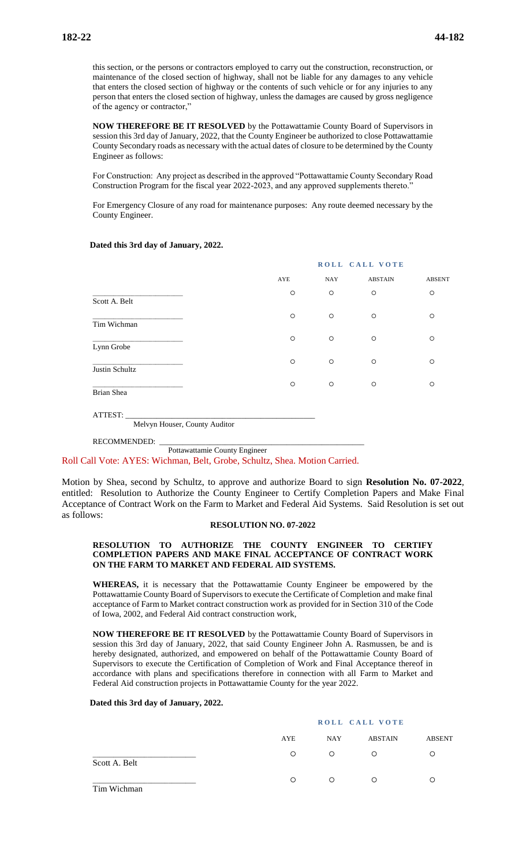this section, or the persons or contractors employed to carry out the construction, reconstruction, or maintenance of the closed section of highway, shall not be liable for any damages to any vehicle that enters the closed section of highway or the contents of such vehicle or for any injuries to any person that enters the closed section of highway, unless the damages are caused by gross negligence of the agency or contractor,"

**NOW THEREFORE BE IT RESOLVED** by the Pottawattamie County Board of Supervisors in session this 3rd day of January, 2022, that the County Engineer be authorized to close Pottawattamie County Secondary roads as necessary with the actual dates of closure to be determined by the County Engineer as follows:

For Construction: Any project as described in the approved "Pottawattamie County Secondary Road Construction Program for the fiscal year 2022-2023, and any approved supplements thereto."

For Emergency Closure of any road for maintenance purposes: Any route deemed necessary by the County Engineer.

## **Dated this 3rd day of January, 2022.**

|                               |         | ROLL CALL VOTE |                |               |  |  |
|-------------------------------|---------|----------------|----------------|---------------|--|--|
|                               | AYE     | NAY            | <b>ABSTAIN</b> | <b>ABSENT</b> |  |  |
|                               | $\circ$ | $\circ$        | $\circ$        | $\circ$       |  |  |
| Scott A. Belt                 |         |                |                |               |  |  |
|                               | $\circ$ | $\circ$        | $\circ$        | $\circ$       |  |  |
| Tim Wichman                   |         |                |                |               |  |  |
| Lynn Grobe                    | $\circ$ | $\circ$        | $\circ$        | $\circ$       |  |  |
|                               | $\circ$ | $\circ$        | $\circ$        | $\circ$       |  |  |
| Justin Schultz                |         |                |                |               |  |  |
|                               | $\circ$ | $\circ$        | $\circ$        | $\circ$       |  |  |
| Brian Shea                    |         |                |                |               |  |  |
|                               |         |                |                |               |  |  |
| ATTEST:                       |         |                |                |               |  |  |
| Melvyn Houser, County Auditor |         |                |                |               |  |  |

RECOMMENDED:

Pottawattamie County Engineer

Roll Call Vote: AYES: Wichman, Belt, Grobe, Schultz, Shea. Motion Carried.

Motion by Shea, second by Schultz, to approve and authorize Board to sign **Resolution No. 07-2022**, entitled: Resolution to Authorize the County Engineer to Certify Completion Papers and Make Final Acceptance of Contract Work on the Farm to Market and Federal Aid Systems. Said Resolution is set out as follows:

## **RESOLUTION NO. 07-2022**

### **RESOLUTION TO AUTHORIZE THE COUNTY ENGINEER TO CERTIFY COMPLETION PAPERS AND MAKE FINAL ACCEPTANCE OF CONTRACT WORK ON THE FARM TO MARKET AND FEDERAL AID SYSTEMS.**

**WHEREAS,** it is necessary that the Pottawattamie County Engineer be empowered by the Pottawattamie County Board of Supervisors to execute the Certificate of Completion and make final acceptance of Farm to Market contract construction work as provided for in Section 310 of the Code of Iowa, 2002, and Federal Aid contract construction work,

**NOW THEREFORE BE IT RESOLVED** by the Pottawattamie County Board of Supervisors in session this 3rd day of January, 2022, that said County Engineer John A. Rasmussen, be and is hereby designated, authorized, and empowered on behalf of the Pottawattamie County Board of Supervisors to execute the Certification of Completion of Work and Final Acceptance thereof in accordance with plans and specifications therefore in connection with all Farm to Market and Federal Aid construction projects in Pottawattamie County for the year 2022.

## **Dated this 3rd day of January, 2022.**

|                   |         | ROLL CALL VOTE |                |               |  |
|-------------------|---------|----------------|----------------|---------------|--|
|                   | AYE     | <b>NAY</b>     | <b>ABSTAIN</b> | <b>ABSENT</b> |  |
| Scott A. Belt     | $\circ$ | $\circ$        | $\circ$        | ◯             |  |
| $T^*$ $T^*$ $T^*$ | ∩       | ∩              | $\circ$        | O             |  |

Tim Wichman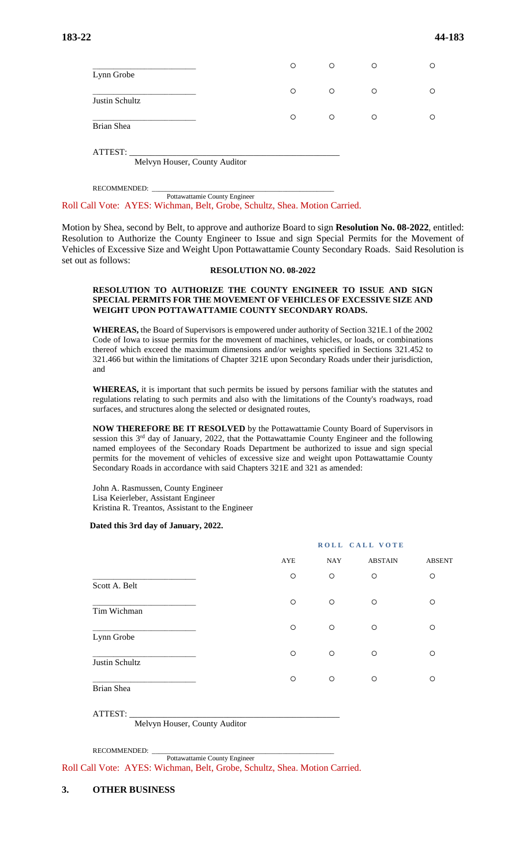|                | $\circ$ | $\circ$ | $\circ$ | ∩ |
|----------------|---------|---------|---------|---|
| Lynn Grobe     |         |         |         |   |
| Justin Schultz | $\circ$ | O       | $\circ$ |   |
| Brian Shea     | $\circ$ | O       | $\circ$ | ∩ |
| ATTEST:        |         |         |         |   |

Melvyn Houser, County Auditor

RECOMMENDED:

 Pottawattamie County Engineer Roll Call Vote: AYES: Wichman, Belt, Grobe, Schultz, Shea. Motion Carried.

Motion by Shea, second by Belt, to approve and authorize Board to sign **Resolution No. 08-2022**, entitled: Resolution to Authorize the County Engineer to Issue and sign Special Permits for the Movement of Vehicles of Excessive Size and Weight Upon Pottawattamie County Secondary Roads. Said Resolution is set out as follows:

#### **RESOLUTION NO. 08-2022**

## **RESOLUTION TO AUTHORIZE THE COUNTY ENGINEER TO ISSUE AND SIGN SPECIAL PERMITS FOR THE MOVEMENT OF VEHICLES OF EXCESSIVE SIZE AND WEIGHT UPON POTTAWATTAMIE COUNTY SECONDARY ROADS.**

**WHEREAS,** the Board of Supervisors is empowered under authority of Section 321E.1 of the 2002 Code of Iowa to issue permits for the movement of machines, vehicles, or loads, or combinations thereof which exceed the maximum dimensions and/or weights specified in Sections 321.452 to 321.466 but within the limitations of Chapter 321E upon Secondary Roads under their jurisdiction, and

**WHEREAS,** it is important that such permits be issued by persons familiar with the statutes and regulations relating to such permits and also with the limitations of the County's roadways, road surfaces, and structures along the selected or designated routes,

**NOW THEREFORE BE IT RESOLVED** by the Pottawattamie County Board of Supervisors in session this  $3<sup>rd</sup>$  day of January, 2022, that the Pottawattamie County Engineer and the following named employees of the Secondary Roads Department be authorized to issue and sign special permits for the movement of vehicles of excessive size and weight upon Pottawattamie County Secondary Roads in accordance with said Chapters 321E and 321 as amended:

John A. Rasmussen, County Engineer Lisa Keierleber, Assistant Engineer Kristina R. Treantos, Assistant to the Engineer

## **Dated this 3rd day of January, 2022.**

|                | ROLL CALL VOTE |                              |         |         |  |  |
|----------------|----------------|------------------------------|---------|---------|--|--|
|                | AYE            | <b>ABSTAIN</b><br><b>NAY</b> |         |         |  |  |
|                | $\circ$        | $\circ$                      | $\circ$ | $\circ$ |  |  |
| Scott A. Belt  | $\circ$        | $\circ$                      | $\circ$ | $\circ$ |  |  |
| Tim Wichman    |                |                              |         |         |  |  |
| Lynn Grobe     | $\circ$        | $\circ$                      | $\circ$ | $\circ$ |  |  |
| Justin Schultz | $\circ$        | $\circ$                      | $\circ$ | $\circ$ |  |  |
| Brian Shea     | O              | $\circ$                      | $\circ$ | O       |  |  |
|                |                |                              |         |         |  |  |

ATTEST: \_\_\_\_\_\_\_\_\_\_\_\_\_\_\_\_\_\_\_\_\_\_\_\_\_\_\_\_\_\_\_\_\_\_\_\_\_\_\_\_\_\_\_\_\_\_\_\_\_

Melvyn Houser, County Auditor

RECOMMENDED:

Pottawattamie County Engineer

Roll Call Vote: AYES: Wichman, Belt, Grobe, Schultz, Shea. Motion Carried.

## **3. OTHER BUSINESS**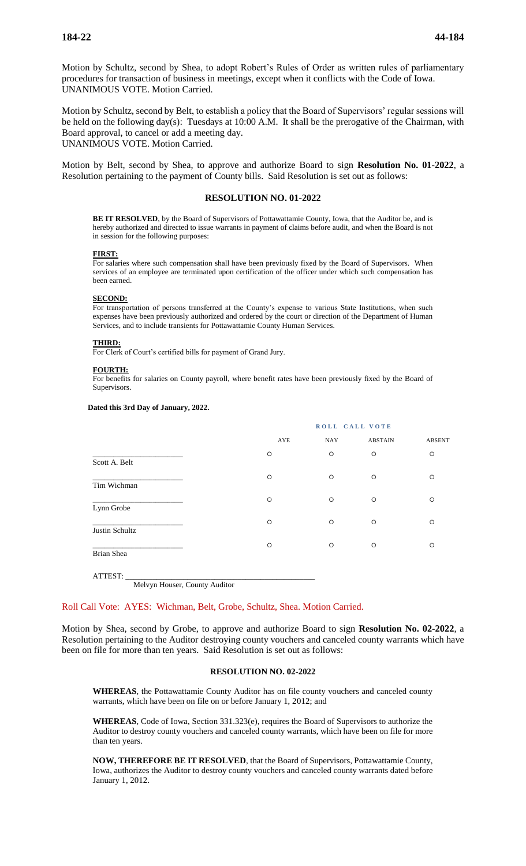Motion by Schultz, second by Shea, to adopt Robert's Rules of Order as written rules of parliamentary procedures for transaction of business in meetings, except when it conflicts with the Code of Iowa. UNANIMOUS VOTE. Motion Carried.

Motion by Schultz, second by Belt, to establish a policy that the Board of Supervisors' regular sessions will be held on the following day(s): Tuesdays at 10:00 A.M. It shall be the prerogative of the Chairman, with Board approval, to cancel or add a meeting day. UNANIMOUS VOTE. Motion Carried.

Motion by Belt, second by Shea, to approve and authorize Board to sign **Resolution No. 01-2022**, a Resolution pertaining to the payment of County bills. Said Resolution is set out as follows:

# **RESOLUTION NO. 01-2022**

**BE IT RESOLVED**, by the Board of Supervisors of Pottawattamie County, Iowa, that the Auditor be, and is hereby authorized and directed to issue warrants in payment of claims before audit, and when the Board is not in session for the following purposes:

#### **FIRST:**

For salaries where such compensation shall have been previously fixed by the Board of Supervisors. When services of an employee are terminated upon certification of the officer under which such compensation has been earned.

#### **SECOND:**

For transportation of persons transferred at the County's expense to various State Institutions, when such expenses have been previously authorized and ordered by the court or direction of the Department of Human Services, and to include transients for Pottawattamie County Human Services.

#### **THIRD:**

For Clerk of Court's certified bills for payment of Grand Jury.

#### **FOURTH:**

For benefits for salaries on County payroll, where benefit rates have been previously fixed by the Board of Supervisors.

#### **Dated this 3rd Day of January, 2022.**

|                | ROLL CALL VOTE |            |                |               |  |
|----------------|----------------|------------|----------------|---------------|--|
|                | AYE            | <b>NAY</b> | <b>ABSTAIN</b> | <b>ABSENT</b> |  |
| Scott A. Belt  | $\circ$        | O          | $\circ$        | $\circ$       |  |
| Tim Wichman    | $\circ$        | $\circ$    | $\circ$        | O             |  |
| Lynn Grobe     | $\circ$        | $\circ$    | $\circ$        | O             |  |
| Justin Schultz | $\circ$        | $\circ$    | $\circ$        | O             |  |
| Brian Shea     | $\circ$        | $\circ$    | $\circ$        | $\circ$       |  |

ATTEST: \_\_\_\_\_\_\_\_\_\_\_\_\_\_\_\_\_\_\_\_\_\_\_\_\_\_\_\_\_\_\_\_\_\_\_\_\_\_\_\_\_\_\_\_\_\_\_\_\_ Melvyn Houser, County Auditor

### Roll Call Vote: AYES: Wichman, Belt, Grobe, Schultz, Shea. Motion Carried.

Motion by Shea, second by Grobe, to approve and authorize Board to sign **Resolution No. 02-2022**, a Resolution pertaining to the Auditor destroying county vouchers and canceled county warrants which have been on file for more than ten years. Said Resolution is set out as follows:

#### **RESOLUTION NO. 02-2022**

**WHEREAS**, the Pottawattamie County Auditor has on file county vouchers and canceled county warrants, which have been on file on or before January 1, 2012; and

**WHEREAS**, Code of Iowa, Section 331.323(e), requires the Board of Supervisors to authorize the Auditor to destroy county vouchers and canceled county warrants, which have been on file for more than ten years.

**NOW, THEREFORE BE IT RESOLVED**, that the Board of Supervisors, Pottawattamie County, Iowa, authorizes the Auditor to destroy county vouchers and canceled county warrants dated before January 1, 2012.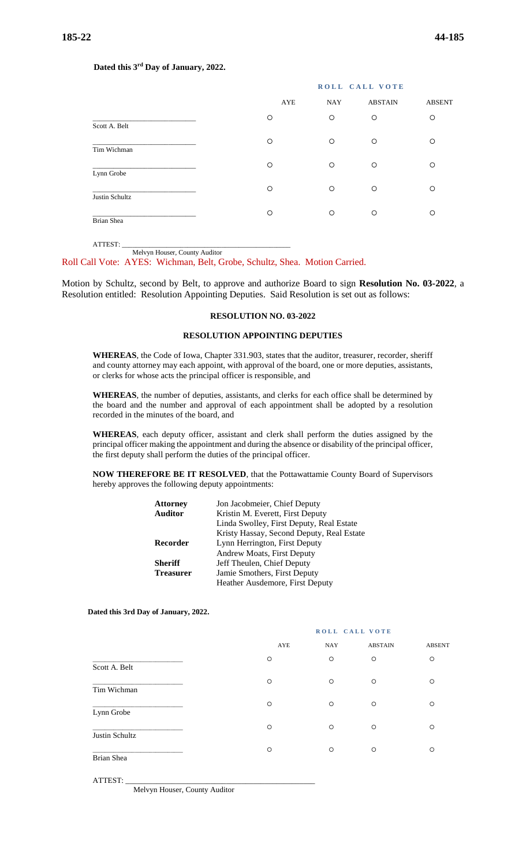## **Dated this 3rd Day of January, 2022.**

|                |         | ROLL CALL VOTE    |                |               |  |
|----------------|---------|-------------------|----------------|---------------|--|
|                |         | <b>NAY</b><br>AYE | <b>ABSTAIN</b> | <b>ABSENT</b> |  |
| Scott A. Belt  | O       | $\circ$           | $\circ$        | $\circ$       |  |
| Tim Wichman    | $\circ$ | $\circ$           | $\circ$        | $\circ$       |  |
| Lynn Grobe     | $\circ$ | $\circ$           | $\circ$        | $\circ$       |  |
| Justin Schultz | O       | $\circ$           | $\circ$        | $\circ$       |  |
| Brian Shea     | O       | O                 | $\circ$        | $\circ$       |  |

ATTEST: \_\_\_\_\_\_\_\_\_\_\_\_\_\_\_\_\_\_\_\_\_\_\_\_\_\_\_\_\_\_\_\_\_\_\_\_\_\_\_\_\_\_\_\_\_\_\_\_\_ Melvyn Houser, County Auditor

Roll Call Vote: AYES: Wichman, Belt, Grobe, Schultz, Shea. Motion Carried.

Motion by Schultz, second by Belt, to approve and authorize Board to sign **Resolution No. 03-2022**, a Resolution entitled: Resolution Appointing Deputies. Said Resolution is set out as follows:

## **RESOLUTION NO. 03-2022**

## **RESOLUTION APPOINTING DEPUTIES**

**WHEREAS**, the Code of Iowa, Chapter 331.903, states that the auditor, treasurer, recorder, sheriff and county attorney may each appoint, with approval of the board, one or more deputies, assistants, or clerks for whose acts the principal officer is responsible, and

**WHEREAS**, the number of deputies, assistants, and clerks for each office shall be determined by the board and the number and approval of each appointment shall be adopted by a resolution recorded in the minutes of the board, and

**WHEREAS**, each deputy officer, assistant and clerk shall perform the duties assigned by the principal officer making the appointment and during the absence or disability of the principal officer, the first deputy shall perform the duties of the principal officer.

**NOW THEREFORE BE IT RESOLVED**, that the Pottawattamie County Board of Supervisors hereby approves the following deputy appointments:

| <b>Attorney</b>  | Jon Jacobmeier, Chief Deputy              |
|------------------|-------------------------------------------|
| <b>Auditor</b>   | Kristin M. Everett, First Deputy          |
|                  | Linda Swolley, First Deputy, Real Estate  |
|                  | Kristy Hassay, Second Deputy, Real Estate |
| Recorder         | Lynn Herrington, First Deputy             |
|                  | Andrew Moats, First Deputy                |
| <b>Sheriff</b>   | Jeff Theulen, Chief Deputy                |
| <b>Treasurer</b> | Jamie Smothers, First Deputy              |
|                  | Heather Ausdemore, First Deputy           |

 **Dated this 3rd Day of January, 2022.**

|                | ROLL CALL VOTE |            |                |               |  |
|----------------|----------------|------------|----------------|---------------|--|
|                | AYE            | <b>NAY</b> | <b>ABSTAIN</b> | <b>ABSENT</b> |  |
| Scott A. Belt  | $\circ$        | $\circ$    | $\circ$        | $\circ$       |  |
| Tim Wichman    | $\circ$        | $\circ$    | $\circ$        | $\circ$       |  |
| Lynn Grobe     | $\circ$        | $\circ$    | $\circ$        | $\circ$       |  |
| Justin Schultz | $\circ$        | $\circ$    | $\circ$        | $\circ$       |  |
| Brian Shea     | $\circ$        | $\circ$    | $\circ$        | $\circ$       |  |
|                |                |            |                |               |  |

Melvyn Houser, County Auditor

ATTEST: \_\_\_\_\_\_\_\_\_\_\_\_\_\_\_\_\_\_\_\_\_\_\_\_\_\_\_\_\_\_\_\_\_\_\_\_\_\_\_\_\_\_\_\_\_\_\_\_\_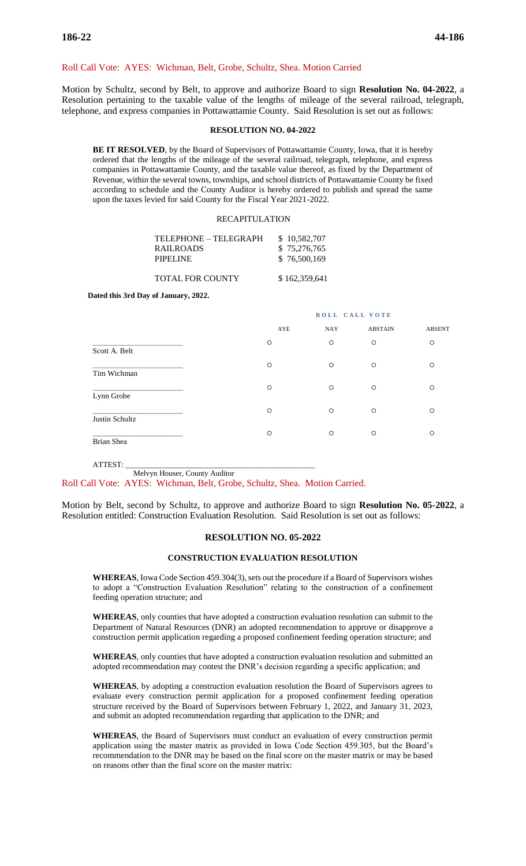## Roll Call Vote: AYES: Wichman, Belt, Grobe, Schultz, Shea. Motion Carried

Motion by Schultz, second by Belt, to approve and authorize Board to sign **Resolution No. 04-2022**, a Resolution pertaining to the taxable value of the lengths of mileage of the several railroad, telegraph, telephone, and express companies in Pottawattamie County. Said Resolution is set out as follows:

## **RESOLUTION NO. 04-2022**

**BE IT RESOLVED**, by the Board of Supervisors of Pottawattamie County, Iowa, that it is hereby ordered that the lengths of the mileage of the several railroad, telegraph, telephone, and express companies in Pottawattamie County, and the taxable value thereof, as fixed by the Department of Revenue, within the several towns, townships, and school districts of Pottawattamie County be fixed according to schedule and the County Auditor is hereby ordered to publish and spread the same upon the taxes levied for said County for the Fiscal Year 2021-2022.

## RECAPITULATION

| TELEPHONE – TELEGRAPH | \$10,582,707 |
|-----------------------|--------------|
| <b>RAILROADS</b>      | \$75,276,765 |
| PIPELINE              | \$76,500,169 |
|                       |              |

TOTAL FOR COUNTY \$162,359,641

 **Dated this 3rd Day of January, 2022.**

# **ROLL CALL VOTE**  AYE NAY ABSTAIN ABSENT \_\_\_\_\_\_\_\_\_\_\_\_\_\_\_\_\_\_\_\_\_\_\_\_\_\_\_\_\_\_ Scott A. Belt \_\_\_\_\_\_\_\_\_\_\_\_\_\_\_\_\_\_\_\_\_\_\_\_\_\_\_\_\_\_ Tim Wichman \_\_\_\_\_\_\_\_\_\_\_\_\_\_\_\_\_\_\_\_\_\_\_\_\_\_\_\_\_\_ Lynn Grobe \_\_\_\_\_\_\_\_\_\_\_\_\_\_\_\_\_\_\_\_\_\_\_\_\_\_\_\_\_\_ Justin Schultz \_\_\_\_\_\_\_\_\_\_\_\_\_\_\_\_\_\_\_\_\_\_\_\_\_\_\_\_\_\_ Brian Shea

ATTEST: \_\_\_\_\_\_\_\_\_\_\_\_\_\_\_\_\_\_\_\_\_\_\_\_\_\_\_\_\_\_\_\_\_\_\_\_\_\_\_\_\_\_\_\_\_\_\_\_\_ Melvyn Houser, County Auditor Roll Call Vote: AYES: Wichman, Belt, Grobe, Schultz, Shea. Motion Carried.

Motion by Belt, second by Schultz, to approve and authorize Board to sign **Resolution No. 05-2022**, a Resolution entitled: Construction Evaluation Resolution. Said Resolution is set out as follows:

## **RESOLUTION NO. 05-2022**

### **CONSTRUCTION EVALUATION RESOLUTION**

**WHEREAS**, Iowa Code Section 459.304(3), sets out the procedure if a Board of Supervisors wishes to adopt a "Construction Evaluation Resolution" relating to the construction of a confinement feeding operation structure; and

**WHEREAS**, only counties that have adopted a construction evaluation resolution can submit to the Department of Natural Resources (DNR) an adopted recommendation to approve or disapprove a construction permit application regarding a proposed confinement feeding operation structure; and

**WHEREAS**, only counties that have adopted a construction evaluation resolution and submitted an adopted recommendation may contest the DNR's decision regarding a specific application; and

**WHEREAS**, by adopting a construction evaluation resolution the Board of Supervisors agrees to evaluate every construction permit application for a proposed confinement feeding operation structure received by the Board of Supervisors between February 1, 2022, and January 31, 2023, and submit an adopted recommendation regarding that application to the DNR; and

**WHEREAS**, the Board of Supervisors must conduct an evaluation of every construction permit application using the master matrix as provided in Iowa Code Section 459.305, but the Board's recommendation to the DNR may be based on the final score on the master matrix or may be based on reasons other than the final score on the master matrix: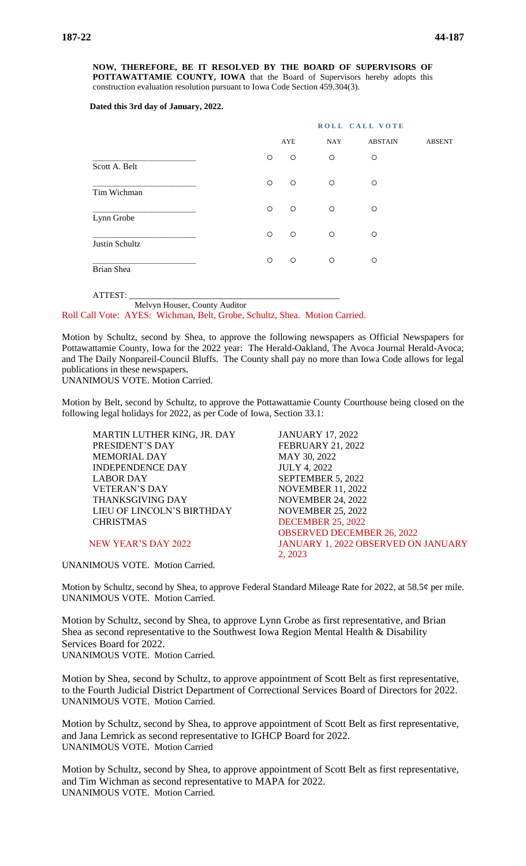**NOW, THEREFORE, BE IT RESOLVED BY THE BOARD OF SUPERVISORS OF POTTAWATTAMIE COUNTY, IOWA** that the Board of Supervisors hereby adopts this construction evaluation resolution pursuant to Iowa Code Section 459.304(3).

### **Dated this 3rd day of January, 2022.**

|                                                |         | ROLL CALL VOTE                      |         |         |               |  |
|------------------------------------------------|---------|-------------------------------------|---------|---------|---------------|--|
|                                                |         | AYE<br><b>NAY</b><br><b>ABSTAIN</b> |         |         | <b>ABSENT</b> |  |
| Scott A. Belt                                  | $\circ$ | $\circ$                             | $\circ$ | $\circ$ |               |  |
| Tim Wichman                                    | $\circ$ | $\circ$                             | $\circ$ | O       |               |  |
| Lynn Grobe                                     | $\circ$ | $\circ$                             | $\circ$ | $\circ$ |               |  |
| Justin Schultz                                 | $\circ$ | $\circ$                             | $\circ$ | $\circ$ |               |  |
| <b>Brian Shea</b>                              | $\circ$ | $\circ$                             | $\circ$ | $\circ$ |               |  |
| <b><i><u>A CONSTRUCTION CONTINUES.</u></i></b> |         |                                     |         |         |               |  |

ATTEST: \_\_\_\_\_\_\_\_\_\_\_\_\_\_\_\_\_\_\_\_\_\_\_\_\_\_\_\_\_\_\_\_\_\_\_\_\_\_\_\_\_\_\_\_\_\_\_\_\_ Melvyn Houser, County Auditor

Roll Call Vote: AYES: Wichman, Belt, Grobe, Schultz, Shea. Motion Carried.

Motion by Schultz, second by Shea, to approve the following newspapers as Official Newspapers for Pottawattamie County, Iowa for the 2022 year: The Herald-Oakland, The Avoca Journal Herald-Avoca; and The Daily Nonpareil-Council Bluffs. The County shall pay no more than Iowa Code allows for legal publications in these newspapers.

UNANIMOUS VOTE. Motion Carried.

Motion by Belt, second by Schultz, to approve the Pottawattamie County Courthouse being closed on the following legal holidays for 2022, as per Code of Iowa, Section 33.1:

MARTIN LUTHER KING, JR. DAY JANUARY 17, 2022 PRESIDENT'S DAY FEBRUARY 21, 2022 MEMORIAL DAY MAY 30, 2022 INDEPENDENCE DAY JULY 4, 2022 LABOR DAY SEPTEMBER 5, 2022 VETERAN'S DAY NOVEMBER 11, 2022 THANKSGIVING DAY NOVEMBER 24, 2022 LIEU OF LINCOLN'S BIRTHDAY NOVEMBER 25, 2022 CHRISTMAS DECEMBER 25, 2022

UNANIMOUS VOTE. Motion Carried.

OBSERVED DECEMBER 26, 2022 NEW YEAR'S DAY 2022 JANUARY 1, 2022 OBSERVED ON JANUARY 2, 2023

Motion by Schultz, second by Shea, to approve Federal Standard Mileage Rate for 2022, at 58.5¢ per mile. UNANIMOUS VOTE. Motion Carried.

Motion by Schultz, second by Shea, to approve Lynn Grobe as first representative, and Brian Shea as second representative to the Southwest Iowa Region Mental Health & Disability Services Board for 2022. UNANIMOUS VOTE. Motion Carried.

Motion by Shea, second by Schultz, to approve appointment of Scott Belt as first representative, to the Fourth Judicial District Department of Correctional Services Board of Directors for 2022. UNANIMOUS VOTE. Motion Carried.

Motion by Schultz, second by Shea, to approve appointment of Scott Belt as first representative, and Jana Lemrick as second representative to IGHCP Board for 2022. UNANIMOUS VOTE. Motion Carried

Motion by Schultz, second by Shea, to approve appointment of Scott Belt as first representative, and Tim Wichman as second representative to MAPA for 2022. UNANIMOUS VOTE. Motion Carried.